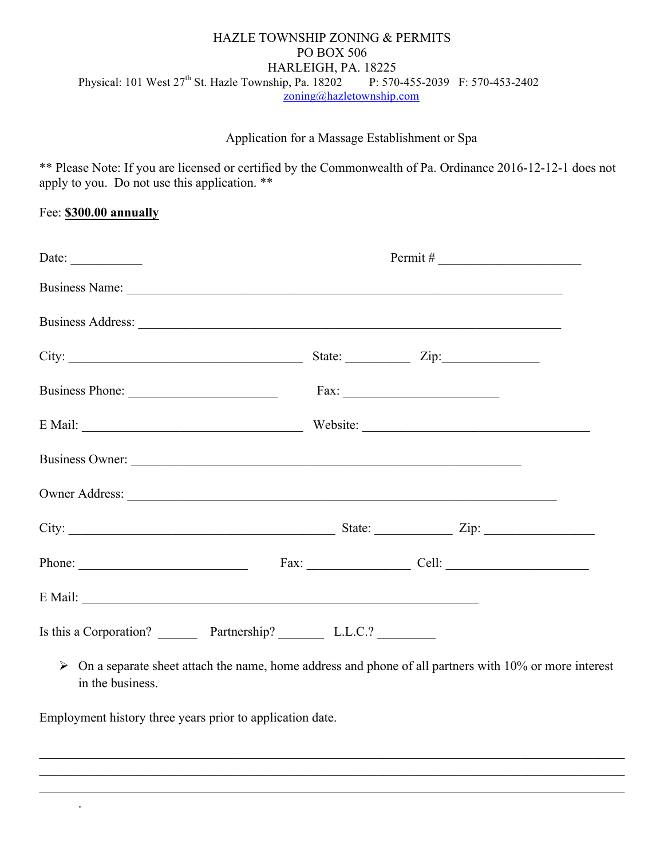## HAZLE TOWNSHIP ZONING & PERMITS PO BOX 506 HARLEIGH, PA. 18225 Physical: 101 West 27<sup>th</sup> St. Hazle Township, Pa. 18202 P: 570-455-2039 F: 570-453-2402 zoning@hazletownship.com

## Application for a Massage Establishment or Spa

\*\* Please Note: If you are licensed or certified by the Commonwealth of Pa. Ordinance 2016-12-12-1 does not apply to you. Do not use this application. \*\*

## Fee: **\$300.00 annually**

| Date: $\qquad \qquad$                                                                                                                                                                                                          | $Permit \#$ |                               |  |  |                |
|--------------------------------------------------------------------------------------------------------------------------------------------------------------------------------------------------------------------------------|-------------|-------------------------------|--|--|----------------|
| Business Name: Name: Name: Name: Name: Name: Name: Name: Name: Name: Name: Name: Name: Name: Name: Name: Name: Name: Name: Name: Name: Name: Name: Name: Name: Name: Name: Name: Name: Name: Name: Name: Name: Name: Name: Nam |             |                               |  |  |                |
|                                                                                                                                                                                                                                |             |                               |  |  |                |
| City:                                                                                                                                                                                                                          |             | State: $\angle$ Zip: $\angle$ |  |  |                |
| Business Phone: Fax: Fax:                                                                                                                                                                                                      |             |                               |  |  |                |
| E Mail: Website: Website:                                                                                                                                                                                                      |             |                               |  |  |                |
|                                                                                                                                                                                                                                |             |                               |  |  |                |
|                                                                                                                                                                                                                                |             |                               |  |  |                |
|                                                                                                                                                                                                                                |             |                               |  |  |                |
| Phone:                                                                                                                                                                                                                         |             |                               |  |  | $Fax:$ $Cell:$ |
| E Mail:                                                                                                                                                                                                                        |             |                               |  |  |                |
| Is this a Corporation? Partnership? L.L.C.?                                                                                                                                                                                    |             |                               |  |  |                |

 $\triangleright$  On a separate sheet attach the name, home address and phone of all partners with 10% or more interest in the business.

 $\mathcal{L}_\mathcal{L} = \mathcal{L}_\mathcal{L} = \mathcal{L}_\mathcal{L} = \mathcal{L}_\mathcal{L} = \mathcal{L}_\mathcal{L} = \mathcal{L}_\mathcal{L} = \mathcal{L}_\mathcal{L} = \mathcal{L}_\mathcal{L} = \mathcal{L}_\mathcal{L} = \mathcal{L}_\mathcal{L} = \mathcal{L}_\mathcal{L} = \mathcal{L}_\mathcal{L} = \mathcal{L}_\mathcal{L} = \mathcal{L}_\mathcal{L} = \mathcal{L}_\mathcal{L} = \mathcal{L}_\mathcal{L} = \mathcal{L}_\mathcal{L}$  $\_$  , and the contribution of the contribution of the contribution of the contribution of the contribution of  $\mathcal{L}_\text{max}$  $\_$  , and the contribution of the contribution of the contribution of the contribution of the contribution of  $\mathcal{L}_\text{max}$ 

Employment history three years prior to application date.

.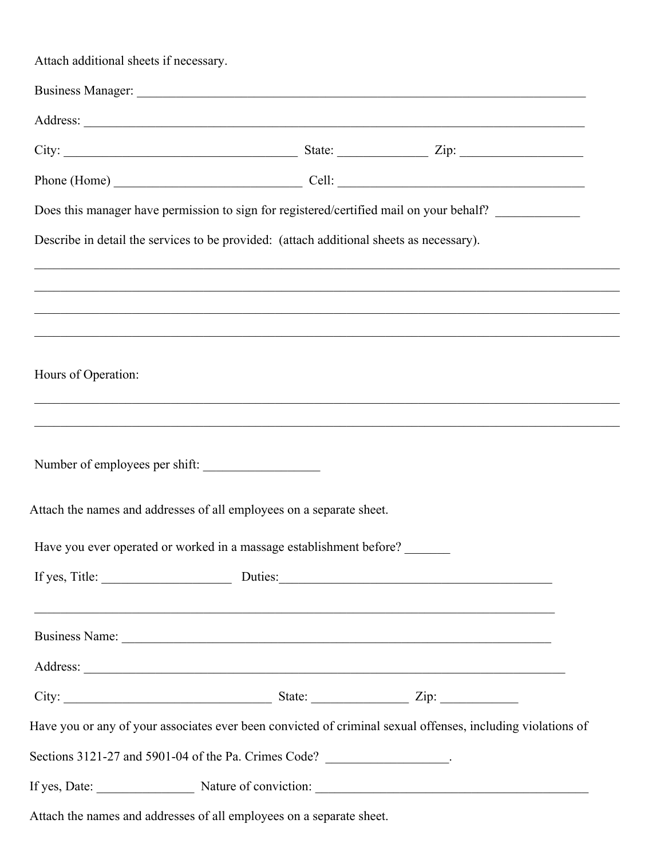| Attach additional sheets if necessary. |                                                                                                                                                                                                                                |
|----------------------------------------|--------------------------------------------------------------------------------------------------------------------------------------------------------------------------------------------------------------------------------|
|                                        |                                                                                                                                                                                                                                |
|                                        |                                                                                                                                                                                                                                |
|                                        |                                                                                                                                                                                                                                |
|                                        | Phone (Home) Cell: Cell:                                                                                                                                                                                                       |
|                                        | Does this manager have permission to sign for registered/certified mail on your behalf?                                                                                                                                        |
|                                        | Describe in detail the services to be provided: (attach additional sheets as necessary).                                                                                                                                       |
|                                        |                                                                                                                                                                                                                                |
|                                        |                                                                                                                                                                                                                                |
|                                        |                                                                                                                                                                                                                                |
| Hours of Operation:                    |                                                                                                                                                                                                                                |
|                                        |                                                                                                                                                                                                                                |
|                                        |                                                                                                                                                                                                                                |
|                                        | Number of employees per shift:                                                                                                                                                                                                 |
|                                        |                                                                                                                                                                                                                                |
|                                        | Attach the names and addresses of all employees on a separate sheet.                                                                                                                                                           |
|                                        | Have you ever operated or worked in a massage establishment before?                                                                                                                                                            |
|                                        |                                                                                                                                                                                                                                |
|                                        | <u> 1989 - 1989 - 1989 - 1989 - 1989 - 1989 - 1989 - 1989 - 1989 - 1989 - 1989 - 1989 - 1989 - 1989 - 1989 - 19</u>                                                                                                            |
|                                        | Business Name: Name: Name: Name: Name: Name: Name: Name: Name: Name: Name: Name: Name: Name: Name: Name: Name: Name: Name: Name: Name: Name: Name: Name: Name: Name: Name: Name: Name: Name: Name: Name: Name: Name: Name: Nam |
|                                        |                                                                                                                                                                                                                                |
|                                        |                                                                                                                                                                                                                                |
|                                        | Have you or any of your associates ever been convicted of criminal sexual offenses, including violations of                                                                                                                    |
|                                        | Sections 3121-27 and 5901-04 of the Pa. Crimes Code? __________________.                                                                                                                                                       |
|                                        |                                                                                                                                                                                                                                |
|                                        | Attach the names and addresses of all employees on a separate sheet.                                                                                                                                                           |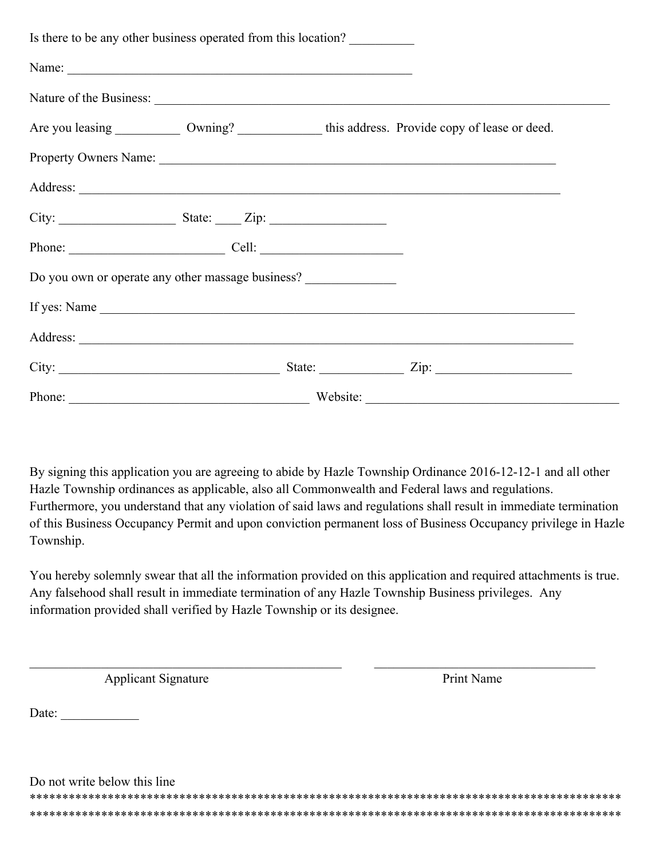| Is there to be any other business operated from this location?                                      |
|-----------------------------------------------------------------------------------------------------|
| Name:                                                                                               |
|                                                                                                     |
| Are you leasing ____________ Owning? _________________ this address. Provide copy of lease or deed. |
| Property Owners Name:                                                                               |
|                                                                                                     |
|                                                                                                     |
| Phone: Cell: Cell:                                                                                  |
| Do you own or operate any other massage business?                                                   |
|                                                                                                     |
|                                                                                                     |
| City: $\frac{1}{\sqrt{2}}$ State: $\frac{1}{\sqrt{2}}$ Zip: $\frac{1}{\sqrt{2}}$ Zip:               |
| Phone: Website: Website:                                                                            |

By signing this application you are agreeing to abide by Hazle Township Ordinance 2016-12-12-1 and all other Hazle Township ordinances as applicable, also all Commonwealth and Federal laws and regulations. Furthermore, you understand that any violation of said laws and regulations shall result in immediate termination of this Business Occupancy Permit and upon conviction permanent loss of Business Occupancy privilege in Hazle Township.

You hereby solemnly swear that all the information provided on this application and required attachments is true. Any falsehood shall result in immediate termination of any Hazle Township Business privileges. Any information provided shall verified by Hazle Township or its designee.

 $\_$  , and the contribution of the contribution of  $\mathcal{L}_\mathcal{A}$  , and the contribution of  $\mathcal{L}_\mathcal{A}$ 

Applicant Signature Print Name

 $Date:$ 

Do not write below this line \*\*\*\*\*\*\*\*\*\*\*\*\*\*\*\*\*\*\*\*\*\*\*\*\*\*\*\*\*\*\*\*\*\*\*\*\*\*\*\*\*\*\*\*\*\*\*\*\*\*\*\*\*\*\*\*\*\*\*\*\*\*\*\*\*\*\*\*\*\*\*\*\*\*\*\*\*\*\*\*\*\*\*\*\*\*\*\*\*\*\* \*\*\*\*\*\*\*\*\*\*\*\*\*\*\*\*\*\*\*\*\*\*\*\*\*\*\*\*\*\*\*\*\*\*\*\*\*\*\*\*\*\*\*\*\*\*\*\*\*\*\*\*\*\*\*\*\*\*\*\*\*\*\*\*\*\*\*\*\*\*\*\*\*\*\*\*\*\*\*\*\*\*\*\*\*\*\*\*\*\*\*